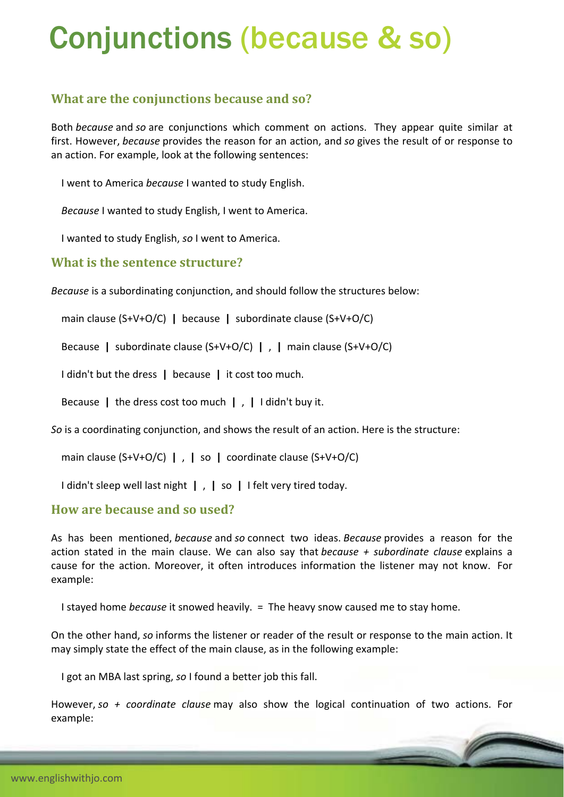# Conjunctions (because & so)

## **What are the conjunctions because and so?**

Both *because* and *so* are conjunctions which comment on actions. They appear quite similar at first. However, *because* provides the reason for an action, and *so* gives the result of or response to an action. For example, look at the following sentences:

I went to America *because* I wanted to study English.

*Because* I wanted to study English, I went to America.

I wanted to study English, *so* I went to America.

#### **What is the sentence structure?**

*Because* is a subordinating conjunction, and should follow the structures below:

main clause (S+V+O/C) **|** because **|** subordinate clause (S+V+O/C)

Because **|** subordinate clause (S+V+O/C) **|** , **|** main clause (S+V+O/C)

I didn't but the dress **|** because **|** it cost too much.

Because **|** the dress cost too much **|** , **|** I didn't buy it.

*So* is a coordinating conjunction, and shows the result of an action. Here is the structure:

main clause (S+V+O/C) **|** , **|** so **|** coordinate clause (S+V+O/C)

I didn't sleep well last night **|** , **|** so **|** I felt very tired today.

### **How are because and so used?**

As has been mentioned, *because* and *so* connect two ideas. *Because* provides a reason for the action stated in the main clause. We can also say that *because + subordinate clause* explains a cause for the action. Moreover, it often introduces information the listener may not know. For example:

I stayed home *because* it snowed heavily. = The heavy snow caused me to stay home.

On the other hand, *so* informs the listener or reader of the result or response to the main action. It may simply state the effect of the main clause, as in the following example:

I got an MBA last spring, *so* I found a better job this fall.

However, *so + coordinate clause* may also show the logical continuation of two actions. For example: